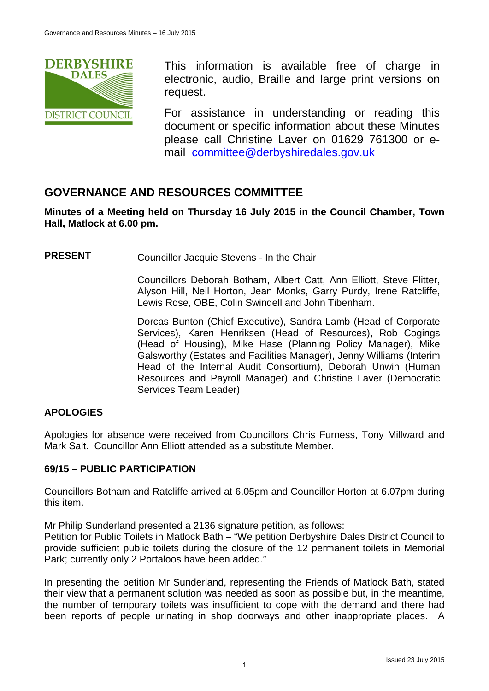

This information is available free of charge in electronic, audio, Braille and large print versions on request.

For assistance in understanding or reading this document or specific information about these Minutes please call Christine Laver on 01629 761300 or email [committee@derbyshiredales.gov.uk](mailto:brian.evans@derbyshiredales.gov.uk) 

# **GOVERNANCE AND RESOURCES COMMITTEE**

**Minutes of a Meeting held on Thursday 16 July 2015 in the Council Chamber, Town Hall, Matlock at 6.00 pm.**

**PRESENT** Councillor Jacquie Stevens - In the Chair

Councillors Deborah Botham, Albert Catt, Ann Elliott, Steve Flitter, Alyson Hill, Neil Horton, Jean Monks, Garry Purdy, Irene Ratcliffe, Lewis Rose, OBE, Colin Swindell and John Tibenham.

Dorcas Bunton (Chief Executive), Sandra Lamb (Head of Corporate Services), Karen Henriksen (Head of Resources), Rob Cogings (Head of Housing), Mike Hase (Planning Policy Manager), Mike Galsworthy (Estates and Facilities Manager), Jenny Williams (Interim Head of the Internal Audit Consortium), Deborah Unwin (Human Resources and Payroll Manager) and Christine Laver (Democratic Services Team Leader)

# **APOLOGIES**

Apologies for absence were received from Councillors Chris Furness, Tony Millward and Mark Salt. Councillor Ann Elliott attended as a substitute Member.

### **69/15 – PUBLIC PARTICIPATION**

Councillors Botham and Ratcliffe arrived at 6.05pm and Councillor Horton at 6.07pm during this item.

Mr Philip Sunderland presented a 2136 signature petition, as follows:

Petition for Public Toilets in Matlock Bath – "We petition Derbyshire Dales District Council to provide sufficient public toilets during the closure of the 12 permanent toilets in Memorial Park; currently only 2 Portaloos have been added."

In presenting the petition Mr Sunderland, representing the Friends of Matlock Bath, stated their view that a permanent solution was needed as soon as possible but, in the meantime, the number of temporary toilets was insufficient to cope with the demand and there had been reports of people urinating in shop doorways and other inappropriate places. A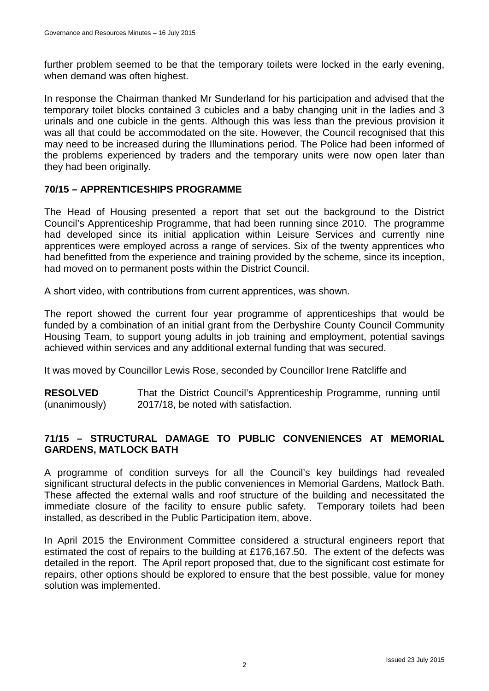further problem seemed to be that the temporary toilets were locked in the early evening, when demand was often highest.

In response the Chairman thanked Mr Sunderland for his participation and advised that the temporary toilet blocks contained 3 cubicles and a baby changing unit in the ladies and 3 urinals and one cubicle in the gents. Although this was less than the previous provision it was all that could be accommodated on the site. However, the Council recognised that this may need to be increased during the Illuminations period. The Police had been informed of the problems experienced by traders and the temporary units were now open later than they had been originally.

### **70/15 – APPRENTICESHIPS PROGRAMME**

The Head of Housing presented a report that set out the background to the District Council's Apprenticeship Programme, that had been running since 2010. The programme had developed since its initial application within Leisure Services and currently nine apprentices were employed across a range of services. Six of the twenty apprentices who had benefitted from the experience and training provided by the scheme, since its inception, had moved on to permanent posts within the District Council.

A short video, with contributions from current apprentices, was shown.

The report showed the current four year programme of apprenticeships that would be funded by a combination of an initial grant from the Derbyshire County Council Community Housing Team, to support young adults in job training and employment, potential savings achieved within services and any additional external funding that was secured.

It was moved by Councillor Lewis Rose, seconded by Councillor Irene Ratcliffe and

**RESOLVED** (unanimously) That the District Council's Apprenticeship Programme, running until 2017/18, be noted with satisfaction.

### **71/15 – STRUCTURAL DAMAGE TO PUBLIC CONVENIENCES AT MEMORIAL GARDENS, MATLOCK BATH**

A programme of condition surveys for all the Council's key buildings had revealed significant structural defects in the public conveniences in Memorial Gardens, Matlock Bath. These affected the external walls and roof structure of the building and necessitated the immediate closure of the facility to ensure public safety. Temporary toilets had been installed, as described in the Public Participation item, above.

In April 2015 the Environment Committee considered a structural engineers report that estimated the cost of repairs to the building at £176,167.50. The extent of the defects was detailed in the report. The April report proposed that, due to the significant cost estimate for repairs, other options should be explored to ensure that the best possible, value for money solution was implemented.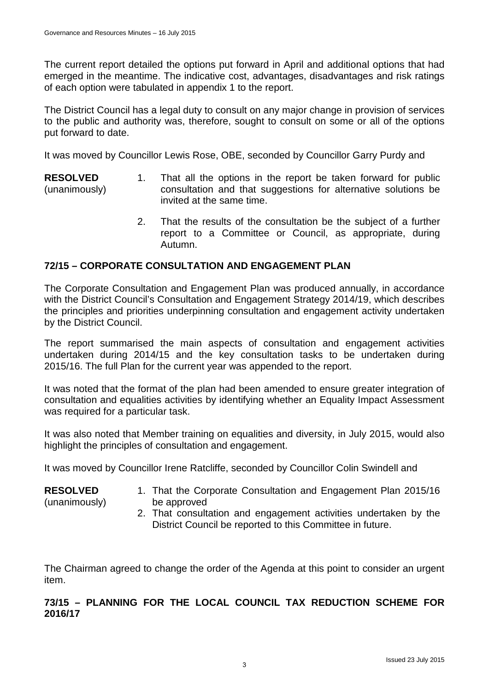**RESOLVED** (unanimously)

The current report detailed the options put forward in April and additional options that had emerged in the meantime. The indicative cost, advantages, disadvantages and risk ratings of each option were tabulated in appendix 1 to the report.

The District Council has a legal duty to consult on any major change in provision of services to the public and authority was, therefore, sought to consult on some or all of the options put forward to date.

It was moved by Councillor Lewis Rose, OBE, seconded by Councillor Garry Purdy and

- **RESOLVED** (unanimously) 1. That all the options in the report be taken forward for public consultation and that suggestions for alternative solutions be invited at the same time.
	- 2. That the results of the consultation be the subject of a further report to a Committee or Council, as appropriate, during Autumn.

# **72/15 – CORPORATE CONSULTATION AND ENGAGEMENT PLAN**

The Corporate Consultation and Engagement Plan was produced annually, in accordance with the District Council's Consultation and Engagement Strategy 2014/19, which describes the principles and priorities underpinning consultation and engagement activity undertaken by the District Council.

The report summarised the main aspects of consultation and engagement activities undertaken during 2014/15 and the key consultation tasks to be undertaken during 2015/16. The full Plan for the current year was appended to the report.

It was noted that the format of the plan had been amended to ensure greater integration of consultation and equalities activities by identifying whether an Equality Impact Assessment was required for a particular task.

It was also noted that Member training on equalities and diversity, in July 2015, would also highlight the principles of consultation and engagement.

It was moved by Councillor Irene Ratcliffe, seconded by Councillor Colin Swindell and

- 1. That the Corporate Consultation and Engagement Plan 2015/16 be approved
	- 2. That consultation and engagement activities undertaken by the District Council be reported to this Committee in future.

The Chairman agreed to change the order of the Agenda at this point to consider an urgent item.

### **73/15 – PLANNING FOR THE LOCAL COUNCIL TAX REDUCTION SCHEME FOR 2016/17**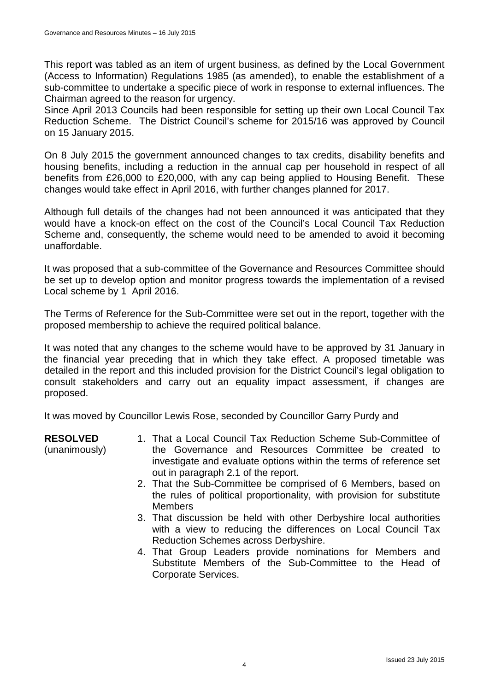This report was tabled as an item of urgent business, as defined by the Local Government (Access to Information) Regulations 1985 (as amended), to enable the establishment of a sub-committee to undertake a specific piece of work in response to external influences. The Chairman agreed to the reason for urgency.

Since April 2013 Councils had been responsible for setting up their own Local Council Tax Reduction Scheme. The District Council's scheme for 2015/16 was approved by Council on 15 January 2015.

On 8 July 2015 the government announced changes to tax credits, disability benefits and housing benefits, including a reduction in the annual cap per household in respect of all benefits from £26,000 to £20,000, with any cap being applied to Housing Benefit. These changes would take effect in April 2016, with further changes planned for 2017.

Although full details of the changes had not been announced it was anticipated that they would have a knock-on effect on the cost of the Council's Local Council Tax Reduction Scheme and, consequently, the scheme would need to be amended to avoid it becoming unaffordable.

It was proposed that a sub-committee of the Governance and Resources Committee should be set up to develop option and monitor progress towards the implementation of a revised Local scheme by 1 April 2016.

The Terms of Reference for the Sub-Committee were set out in the report, together with the proposed membership to achieve the required political balance.

It was noted that any changes to the scheme would have to be approved by 31 January in the financial year preceding that in which they take effect. A proposed timetable was detailed in the report and this included provision for the District Council's legal obligation to consult stakeholders and carry out an equality impact assessment, if changes are proposed.

It was moved by Councillor Lewis Rose, seconded by Councillor Garry Purdy and

**RESOLVED**

(unanimously)

- 1. That a Local Council Tax Reduction Scheme Sub-Committee of the Governance and Resources Committee be created to investigate and evaluate options within the terms of reference set out in paragraph 2.1 of the report.
- 2. That the Sub-Committee be comprised of 6 Members, based on the rules of political proportionality, with provision for substitute **Members**
- 3. That discussion be held with other Derbyshire local authorities with a view to reducing the differences on Local Council Tax Reduction Schemes across Derbyshire.
- 4. That Group Leaders provide nominations for Members and Substitute Members of the Sub-Committee to the Head of Corporate Services.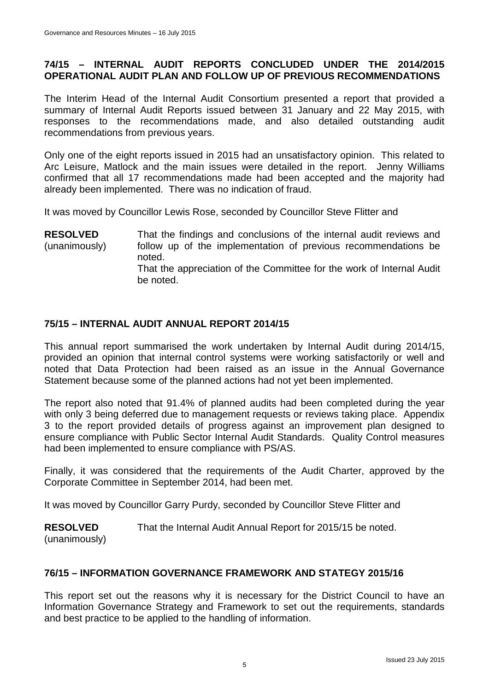## **74/15 – INTERNAL AUDIT REPORTS CONCLUDED UNDER THE 2014/2015 OPERATIONAL AUDIT PLAN AND FOLLOW UP OF PREVIOUS RECOMMENDATIONS**

The Interim Head of the Internal Audit Consortium presented a report that provided a summary of Internal Audit Reports issued between 31 January and 22 May 2015, with responses to the recommendations made, and also detailed outstanding audit recommendations from previous years.

Only one of the eight reports issued in 2015 had an unsatisfactory opinion. This related to Arc Leisure, Matlock and the main issues were detailed in the report. Jenny Williams confirmed that all 17 recommendations made had been accepted and the majority had already been implemented. There was no indication of fraud.

It was moved by Councillor Lewis Rose, seconded by Councillor Steve Flitter and

**RESOLVED** (unanimously) That the findings and conclusions of the internal audit reviews and follow up of the implementation of previous recommendations be noted. That the appreciation of the Committee for the work of Internal Audit be noted.

# **75/15 – INTERNAL AUDIT ANNUAL REPORT 2014/15**

This annual report summarised the work undertaken by Internal Audit during 2014/15, provided an opinion that internal control systems were working satisfactorily or well and noted that Data Protection had been raised as an issue in the Annual Governance Statement because some of the planned actions had not yet been implemented.

The report also noted that 91.4% of planned audits had been completed during the year with only 3 being deferred due to management requests or reviews taking place. Appendix 3 to the report provided details of progress against an improvement plan designed to ensure compliance with Public Sector Internal Audit Standards. Quality Control measures had been implemented to ensure compliance with PS/AS.

Finally, it was considered that the requirements of the Audit Charter, approved by the Corporate Committee in September 2014, had been met.

It was moved by Councillor Garry Purdy, seconded by Councillor Steve Flitter and

**RESOLVED** (unanimously) That the Internal Audit Annual Report for 2015/15 be noted.

### **76/15 – INFORMATION GOVERNANCE FRAMEWORK AND STATEGY 2015/16**

This report set out the reasons why it is necessary for the District Council to have an Information Governance Strategy and Framework to set out the requirements, standards and best practice to be applied to the handling of information.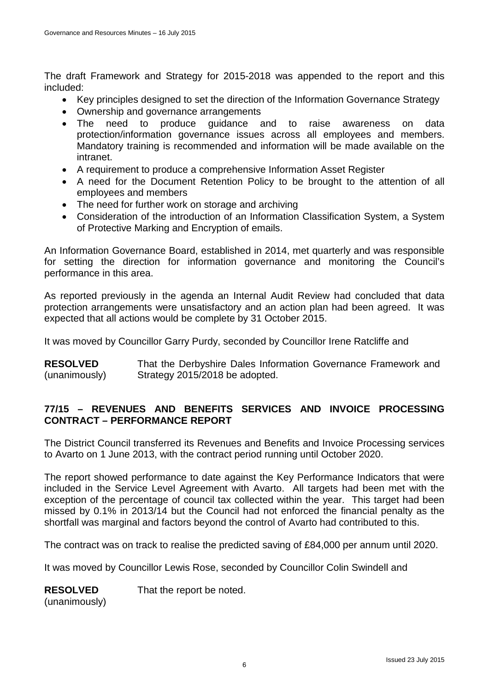The draft Framework and Strategy for 2015-2018 was appended to the report and this included:

- Key principles designed to set the direction of the Information Governance Strategy
- Ownership and governance arrangements
- The need to produce guidance and to raise awareness on data protection/information governance issues across all employees and members. Mandatory training is recommended and information will be made available on the intranet.
- A requirement to produce a comprehensive Information Asset Register
- A need for the Document Retention Policy to be brought to the attention of all employees and members
- The need for further work on storage and archiving
- Consideration of the introduction of an Information Classification System, a System of Protective Marking and Encryption of emails.

An Information Governance Board, established in 2014, met quarterly and was responsible for setting the direction for information governance and monitoring the Council's performance in this area.

As reported previously in the agenda an Internal Audit Review had concluded that data protection arrangements were unsatisfactory and an action plan had been agreed. It was expected that all actions would be complete by 31 October 2015.

It was moved by Councillor Garry Purdy, seconded by Councillor Irene Ratcliffe and

**RESOLVED** (unanimously) That the Derbyshire Dales Information Governance Framework and Strategy 2015/2018 be adopted.

# **77/15 – REVENUES AND BENEFITS SERVICES AND INVOICE PROCESSING CONTRACT – PERFORMANCE REPORT**

The District Council transferred its Revenues and Benefits and Invoice Processing services to Avarto on 1 June 2013, with the contract period running until October 2020.

The report showed performance to date against the Key Performance Indicators that were included in the Service Level Agreement with Avarto. All targets had been met with the exception of the percentage of council tax collected within the year. This target had been missed by 0.1% in 2013/14 but the Council had not enforced the financial penalty as the shortfall was marginal and factors beyond the control of Avarto had contributed to this.

The contract was on track to realise the predicted saving of £84,000 per annum until 2020.

It was moved by Councillor Lewis Rose, seconded by Councillor Colin Swindell and

**RESOLVED** That the report be noted.

(unanimously)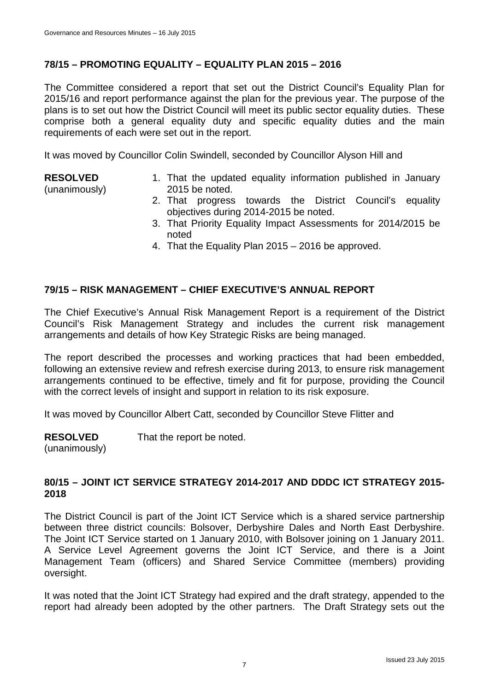### **78/15 – PROMOTING EQUALITY – EQUALITY PLAN 2015 – 2016**

The Committee considered a report that set out the District Council's Equality Plan for 2015/16 and report performance against the plan for the previous year. The purpose of the plans is to set out how the District Council will meet its public sector equality duties. These comprise both a general equality duty and specific equality duties and the main requirements of each were set out in the report.

It was moved by Councillor Colin Swindell, seconded by Councillor Alyson Hill and

### **RESOLVED**

(unanimously)

- 1. That the updated equality information published in January 2015 be noted.
- 2. That progress towards the District Council's equality objectives during 2014-2015 be noted.
- 3. That Priority Equality Impact Assessments for 2014/2015 be noted
- 4. That the Equality Plan 2015 2016 be approved.

### **79/15 – RISK MANAGEMENT – CHIEF EXECUTIVE'S ANNUAL REPORT**

The Chief Executive's Annual Risk Management Report is a requirement of the District Council's Risk Management Strategy and includes the current risk management arrangements and details of how Key Strategic Risks are being managed.

The report described the processes and working practices that had been embedded, following an extensive review and refresh exercise during 2013, to ensure risk management arrangements continued to be effective, timely and fit for purpose, providing the Council with the correct levels of insight and support in relation to its risk exposure.

It was moved by Councillor Albert Catt, seconded by Councillor Steve Flitter and

**RESOLVED** That the report be noted.

(unanimously)

### **80/15 – JOINT ICT SERVICE STRATEGY 2014-2017 AND DDDC ICT STRATEGY 2015- 2018**

The District Council is part of the Joint ICT Service which is a shared service partnership between three district councils: Bolsover, Derbyshire Dales and North East Derbyshire. The Joint ICT Service started on 1 January 2010, with Bolsover joining on 1 January 2011. A Service Level Agreement governs the Joint ICT Service, and there is a Joint Management Team (officers) and Shared Service Committee (members) providing oversight.

It was noted that the Joint ICT Strategy had expired and the draft strategy, appended to the report had already been adopted by the other partners. The Draft Strategy sets out the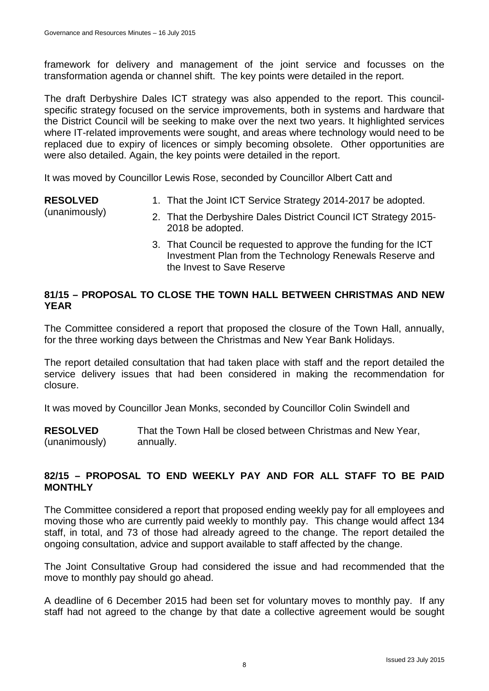framework for delivery and management of the joint service and focusses on the transformation agenda or channel shift. The key points were detailed in the report.

The draft Derbyshire Dales ICT strategy was also appended to the report. This councilspecific strategy focused on the service improvements, both in systems and hardware that the District Council will be seeking to make over the next two years. It highlighted services where IT-related improvements were sought, and areas where technology would need to be replaced due to expiry of licences or simply becoming obsolete. Other opportunities are were also detailed. Again, the key points were detailed in the report.

It was moved by Councillor Lewis Rose, seconded by Councillor Albert Catt and

**RESOLVED** (unanimously) 1. That the Joint ICT Service Strategy 2014-2017 be adopted. 2. That the Derbyshire Dales District Council ICT Strategy 2015- 2018 be adopted.

> 3. That Council be requested to approve the funding for the ICT Investment Plan from the Technology Renewals Reserve and the Invest to Save Reserve

### **81/15 – PROPOSAL TO CLOSE THE TOWN HALL BETWEEN CHRISTMAS AND NEW YEAR**

The Committee considered a report that proposed the closure of the Town Hall, annually, for the three working days between the Christmas and New Year Bank Holidays.

The report detailed consultation that had taken place with staff and the report detailed the service delivery issues that had been considered in making the recommendation for closure.

It was moved by Councillor Jean Monks, seconded by Councillor Colin Swindell and

**RESOLVED** (unanimously) That the Town Hall be closed between Christmas and New Year, annually.

### **82/15 – PROPOSAL TO END WEEKLY PAY AND FOR ALL STAFF TO BE PAID MONTHLY**

The Committee considered a report that proposed ending weekly pay for all employees and moving those who are currently paid weekly to monthly pay. This change would affect 134 staff, in total, and 73 of those had already agreed to the change. The report detailed the ongoing consultation, advice and support available to staff affected by the change.

The Joint Consultative Group had considered the issue and had recommended that the move to monthly pay should go ahead.

A deadline of 6 December 2015 had been set for voluntary moves to monthly pay. If any staff had not agreed to the change by that date a collective agreement would be sought